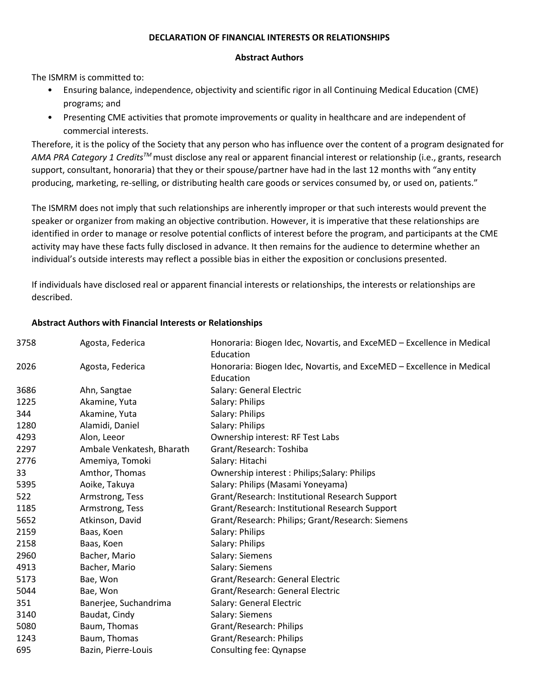## **DECLARATION OF FINANCIAL INTERESTS OR RELATIONSHIPS**

## **Abstract Authors**

The ISMRM is committed to:

- Ensuring balance, independence, objectivity and scientific rigor in all Continuing Medical Education (CME) programs; and
- Presenting CME activities that promote improvements or quality in healthcare and are independent of commercial interests.

Therefore, it is the policy of the Society that any person who has influence over the content of a program designated for *AMA PRA Category 1 CreditsTM* must disclose any real or apparent financial interest or relationship (i.e., grants, research support, consultant, honoraria) that they or their spouse/partner have had in the last 12 months with "any entity producing, marketing, re-selling, or distributing health care goods or services consumed by, or used on, patients."

The ISMRM does not imply that such relationships are inherently improper or that such interests would prevent the speaker or organizer from making an objective contribution. However, it is imperative that these relationships are identified in order to manage or resolve potential conflicts of interest before the program, and participants at the CME activity may have these facts fully disclosed in advance. It then remains for the audience to determine whether an individual's outside interests may reflect a possible bias in either the exposition or conclusions presented.

If individuals have disclosed real or apparent financial interests or relationships, the interests or relationships are described.

## **Abstract Authors with Financial Interests or Relationships**

| 3758 | Agosta, Federica          | Honoraria: Biogen Idec, Novartis, and ExceMED – Excellence in Medical<br>Education |
|------|---------------------------|------------------------------------------------------------------------------------|
| 2026 | Agosta, Federica          | Honoraria: Biogen Idec, Novartis, and ExceMED - Excellence in Medical<br>Education |
| 3686 | Ahn, Sangtae              | Salary: General Electric                                                           |
| 1225 | Akamine, Yuta             | Salary: Philips                                                                    |
| 344  | Akamine, Yuta             | Salary: Philips                                                                    |
| 1280 | Alamidi, Daniel           | Salary: Philips                                                                    |
| 4293 | Alon, Leeor               | Ownership interest: RF Test Labs                                                   |
| 2297 | Ambale Venkatesh, Bharath | Grant/Research: Toshiba                                                            |
| 2776 | Amemiya, Tomoki           | Salary: Hitachi                                                                    |
| 33   | Amthor, Thomas            | Ownership interest: Philips; Salary: Philips                                       |
| 5395 | Aoike, Takuya             | Salary: Philips (Masami Yoneyama)                                                  |
| 522  | Armstrong, Tess           | Grant/Research: Institutional Research Support                                     |
| 1185 | Armstrong, Tess           | Grant/Research: Institutional Research Support                                     |
| 5652 | Atkinson, David           | Grant/Research: Philips; Grant/Research: Siemens                                   |
| 2159 | Baas, Koen                | Salary: Philips                                                                    |
| 2158 | Baas, Koen                | Salary: Philips                                                                    |
| 2960 | Bacher, Mario             | Salary: Siemens                                                                    |
| 4913 | Bacher, Mario             | Salary: Siemens                                                                    |
| 5173 | Bae, Won                  | Grant/Research: General Electric                                                   |
| 5044 | Bae, Won                  | Grant/Research: General Electric                                                   |
| 351  | Banerjee, Suchandrima     | Salary: General Electric                                                           |
| 3140 | Baudat, Cindy             | Salary: Siemens                                                                    |
| 5080 | Baum, Thomas              | Grant/Research: Philips                                                            |
| 1243 | Baum, Thomas              | Grant/Research: Philips                                                            |
| 695  | Bazin, Pierre-Louis       | Consulting fee: Qynapse                                                            |
|      |                           |                                                                                    |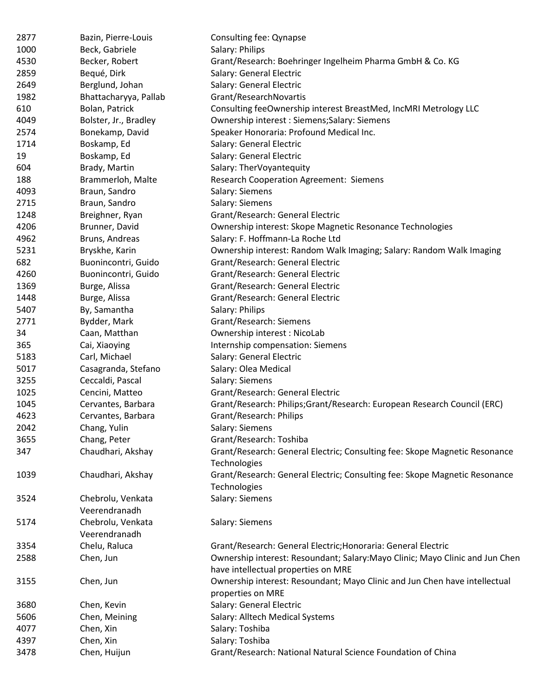| 2877 | Bazin, Pierre-Louis   | Consulting fee: Qynapse                                                       |
|------|-----------------------|-------------------------------------------------------------------------------|
| 1000 | Beck, Gabriele        | Salary: Philips                                                               |
| 4530 | Becker, Robert        | Grant/Research: Boehringer Ingelheim Pharma GmbH & Co. KG                     |
| 2859 | Bequé, Dirk           | Salary: General Electric                                                      |
| 2649 | Berglund, Johan       | Salary: General Electric                                                      |
| 1982 | Bhattacharyya, Pallab | Grant/ResearchNovartis                                                        |
| 610  | Bolan, Patrick        | Consulting feeOwnership interest BreastMed, IncMRI Metrology LLC              |
| 4049 | Bolster, Jr., Bradley | Ownership interest: Siemens; Salary: Siemens                                  |
| 2574 | Bonekamp, David       | Speaker Honoraria: Profound Medical Inc.                                      |
| 1714 | Boskamp, Ed           | Salary: General Electric                                                      |
| 19   | Boskamp, Ed           | Salary: General Electric                                                      |
| 604  | Brady, Martin         | Salary: TherVoyantequity                                                      |
| 188  | Brammerloh, Malte     | <b>Research Cooperation Agreement: Siemens</b>                                |
| 4093 | Braun, Sandro         | Salary: Siemens                                                               |
| 2715 | Braun, Sandro         | Salary: Siemens                                                               |
| 1248 | Breighner, Ryan       | Grant/Research: General Electric                                              |
| 4206 | Brunner, David        | Ownership interest: Skope Magnetic Resonance Technologies                     |
| 4962 | Bruns, Andreas        | Salary: F. Hoffmann-La Roche Ltd                                              |
| 5231 | Bryskhe, Karin        | Ownership interest: Random Walk Imaging; Salary: Random Walk Imaging          |
| 682  | Buonincontri, Guido   | Grant/Research: General Electric                                              |
| 4260 | Buonincontri, Guido   | Grant/Research: General Electric                                              |
| 1369 | Burge, Alissa         | Grant/Research: General Electric                                              |
| 1448 | Burge, Alissa         | Grant/Research: General Electric                                              |
| 5407 | By, Samantha          | Salary: Philips                                                               |
| 2771 | Bydder, Mark          | Grant/Research: Siemens                                                       |
| 34   | Caan, Matthan         | Ownership interest: NicoLab                                                   |
| 365  | Cai, Xiaoying         | Internship compensation: Siemens                                              |
| 5183 | Carl, Michael         | Salary: General Electric                                                      |
| 5017 | Casagranda, Stefano   | Salary: Olea Medical                                                          |
| 3255 | Ceccaldi, Pascal      | Salary: Siemens                                                               |
| 1025 | Cencini, Matteo       | Grant/Research: General Electric                                              |
| 1045 | Cervantes, Barbara    | Grant/Research: Philips;Grant/Research: European Research Council (ERC)       |
| 4623 | Cervantes, Barbara    | Grant/Research: Philips                                                       |
| 2042 | Chang, Yulin          | Salary: Siemens                                                               |
| 3655 | Chang, Peter          | Grant/Research: Toshiba                                                       |
| 347  | Chaudhari, Akshay     | Grant/Research: General Electric; Consulting fee: Skope Magnetic Resonance    |
|      |                       | Technologies                                                                  |
| 1039 | Chaudhari, Akshay     | Grant/Research: General Electric; Consulting fee: Skope Magnetic Resonance    |
|      |                       | Technologies                                                                  |
| 3524 | Chebrolu, Venkata     | Salary: Siemens                                                               |
|      | Veerendranadh         |                                                                               |
| 5174 | Chebrolu, Venkata     | Salary: Siemens                                                               |
|      | Veerendranadh         |                                                                               |
| 3354 | Chelu, Raluca         | Grant/Research: General Electric; Honoraria: General Electric                 |
| 2588 | Chen, Jun             | Ownership interest: Resoundant; Salary: Mayo Clinic; Mayo Clinic and Jun Chen |
|      |                       | have intellectual properties on MRE                                           |
| 3155 | Chen, Jun             | Ownership interest: Resoundant; Mayo Clinic and Jun Chen have intellectual    |
|      |                       | properties on MRE                                                             |
| 3680 | Chen, Kevin           | Salary: General Electric                                                      |
| 5606 | Chen, Meining         | Salary: Alltech Medical Systems                                               |
| 4077 | Chen, Xin             | Salary: Toshiba                                                               |
| 4397 | Chen, Xin             | Salary: Toshiba                                                               |
| 3478 | Chen, Huijun          | Grant/Research: National Natural Science Foundation of China                  |
|      |                       |                                                                               |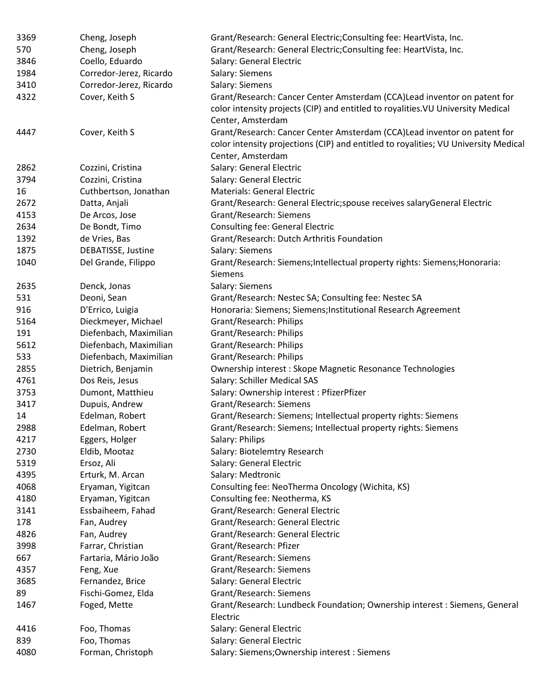| 3369 | Cheng, Joseph           | Grant/Research: General Electric; Consulting fee: HeartVista, Inc.                                                                                                                   |
|------|-------------------------|--------------------------------------------------------------------------------------------------------------------------------------------------------------------------------------|
| 570  | Cheng, Joseph           | Grant/Research: General Electric; Consulting fee: HeartVista, Inc.                                                                                                                   |
| 3846 | Coello, Eduardo         | Salary: General Electric                                                                                                                                                             |
| 1984 | Corredor-Jerez, Ricardo | Salary: Siemens                                                                                                                                                                      |
| 3410 | Corredor-Jerez, Ricardo | Salary: Siemens                                                                                                                                                                      |
| 4322 | Cover, Keith S          | Grant/Research: Cancer Center Amsterdam (CCA)Lead inventor on patent for<br>color intensity projects (CIP) and entitled to royalities. VU University Medical<br>Center, Amsterdam    |
| 4447 | Cover, Keith S          | Grant/Research: Cancer Center Amsterdam (CCA)Lead inventor on patent for<br>color intensity projections (CIP) and entitled to royalities; VU University Medical<br>Center, Amsterdam |
| 2862 | Cozzini, Cristina       | Salary: General Electric                                                                                                                                                             |
| 3794 | Cozzini, Cristina       | Salary: General Electric                                                                                                                                                             |
| 16   | Cuthbertson, Jonathan   | <b>Materials: General Electric</b>                                                                                                                                                   |
| 2672 | Datta, Anjali           | Grant/Research: General Electric; spouse receives salary General Electric                                                                                                            |
| 4153 | De Arcos, Jose          | Grant/Research: Siemens                                                                                                                                                              |
| 2634 | De Bondt, Timo          | <b>Consulting fee: General Electric</b>                                                                                                                                              |
| 1392 | de Vries, Bas           | Grant/Research: Dutch Arthritis Foundation                                                                                                                                           |
| 1875 | DEBATISSE, Justine      | Salary: Siemens                                                                                                                                                                      |
| 1040 | Del Grande, Filippo     | Grant/Research: Siemens; Intellectual property rights: Siemens; Honoraria:<br><b>Siemens</b>                                                                                         |
| 2635 | Denck, Jonas            | Salary: Siemens                                                                                                                                                                      |
| 531  | Deoni, Sean             | Grant/Research: Nestec SA; Consulting fee: Nestec SA                                                                                                                                 |
| 916  | D'Errico, Luigia        | Honoraria: Siemens; Siemens; Institutional Research Agreement                                                                                                                        |
| 5164 | Dieckmeyer, Michael     | Grant/Research: Philips                                                                                                                                                              |
| 191  | Diefenbach, Maximilian  | Grant/Research: Philips                                                                                                                                                              |
| 5612 | Diefenbach, Maximilian  | Grant/Research: Philips                                                                                                                                                              |
| 533  | Diefenbach, Maximilian  | Grant/Research: Philips                                                                                                                                                              |
| 2855 | Dietrich, Benjamin      | Ownership interest: Skope Magnetic Resonance Technologies                                                                                                                            |
| 4761 | Dos Reis, Jesus         | Salary: Schiller Medical SAS                                                                                                                                                         |
| 3753 | Dumont, Matthieu        | Salary: Ownership interest : PfizerPfizer                                                                                                                                            |
| 3417 | Dupuis, Andrew          | Grant/Research: Siemens                                                                                                                                                              |
| 14   | Edelman, Robert         | Grant/Research: Siemens; Intellectual property rights: Siemens                                                                                                                       |
| 2988 | Edelman, Robert         | Grant/Research: Siemens; Intellectual property rights: Siemens                                                                                                                       |
| 4217 | Eggers, Holger          | Salary: Philips                                                                                                                                                                      |
| 2730 | Eldib, Mootaz           | Salary: Biotelemtry Research                                                                                                                                                         |
| 5319 | Ersoz, Ali              | Salary: General Electric                                                                                                                                                             |
| 4395 | Erturk, M. Arcan        | Salary: Medtronic                                                                                                                                                                    |
| 4068 | Eryaman, Yigitcan       | Consulting fee: NeoTherma Oncology (Wichita, KS)                                                                                                                                     |
| 4180 | Eryaman, Yigitcan       | Consulting fee: Neotherma, KS                                                                                                                                                        |
| 3141 | Essbaiheem, Fahad       | Grant/Research: General Electric                                                                                                                                                     |
| 178  | Fan, Audrey             | Grant/Research: General Electric                                                                                                                                                     |
| 4826 | Fan, Audrey             | Grant/Research: General Electric                                                                                                                                                     |
| 3998 | Farrar, Christian       | Grant/Research: Pfizer                                                                                                                                                               |
| 667  | Fartaria, Mário João    | Grant/Research: Siemens                                                                                                                                                              |
| 4357 | Feng, Xue               | Grant/Research: Siemens                                                                                                                                                              |
| 3685 | Fernandez, Brice        | Salary: General Electric                                                                                                                                                             |
| 89   | Fischi-Gomez, Elda      | Grant/Research: Siemens                                                                                                                                                              |
| 1467 | Foged, Mette            | Grant/Research: Lundbeck Foundation; Ownership interest: Siemens, General<br>Electric                                                                                                |
| 4416 | Foo, Thomas             | Salary: General Electric                                                                                                                                                             |
| 839  | Foo, Thomas             | Salary: General Electric                                                                                                                                                             |
| 4080 | Forman, Christoph       | Salary: Siemens; Ownership interest: Siemens                                                                                                                                         |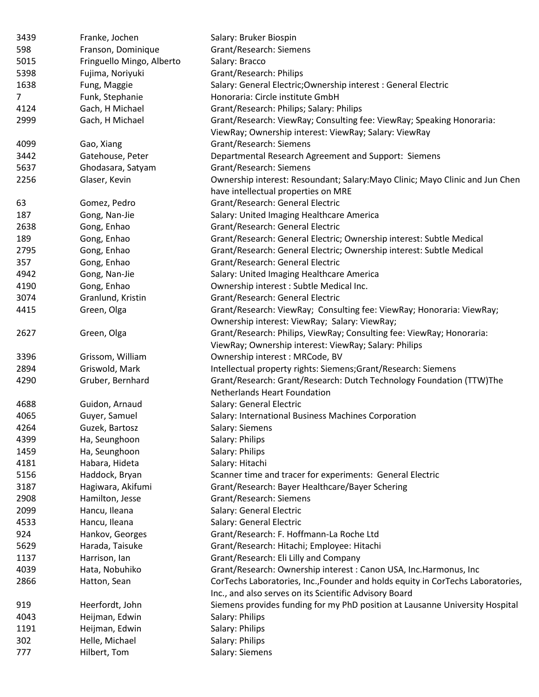| 3439 | Franke, Jochen            | Salary: Bruker Biospin                                                                                               |
|------|---------------------------|----------------------------------------------------------------------------------------------------------------------|
| 598  | Franson, Dominique        | Grant/Research: Siemens                                                                                              |
| 5015 | Fringuello Mingo, Alberto | Salary: Bracco                                                                                                       |
| 5398 | Fujima, Noriyuki          | Grant/Research: Philips                                                                                              |
| 1638 | Fung, Maggie              | Salary: General Electric; Ownership interest: General Electric                                                       |
| 7    | Funk, Stephanie           | Honoraria: Circle institute GmbH                                                                                     |
| 4124 | Gach, H Michael           | Grant/Research: Philips; Salary: Philips                                                                             |
| 2999 | Gach, H Michael           | Grant/Research: ViewRay; Consulting fee: ViewRay; Speaking Honoraria:                                                |
|      |                           | ViewRay; Ownership interest: ViewRay; Salary: ViewRay                                                                |
| 4099 | Gao, Xiang                | Grant/Research: Siemens                                                                                              |
| 3442 | Gatehouse, Peter          | Departmental Research Agreement and Support: Siemens                                                                 |
| 5637 | Ghodasara, Satyam         | Grant/Research: Siemens                                                                                              |
| 2256 | Glaser, Kevin             | Ownership interest: Resoundant; Salary: Mayo Clinic; Mayo Clinic and Jun Chen<br>have intellectual properties on MRE |
| 63   | Gomez, Pedro              | Grant/Research: General Electric                                                                                     |
| 187  | Gong, Nan-Jie             | Salary: United Imaging Healthcare America                                                                            |
| 2638 | Gong, Enhao               | Grant/Research: General Electric                                                                                     |
| 189  | Gong, Enhao               | Grant/Research: General Electric; Ownership interest: Subtle Medical                                                 |
| 2795 | Gong, Enhao               | Grant/Research: General Electric; Ownership interest: Subtle Medical                                                 |
| 357  | Gong, Enhao               | Grant/Research: General Electric                                                                                     |
| 4942 | Gong, Nan-Jie             | Salary: United Imaging Healthcare America                                                                            |
| 4190 | Gong, Enhao               | Ownership interest : Subtle Medical Inc.                                                                             |
| 3074 | Granlund, Kristin         | Grant/Research: General Electric                                                                                     |
| 4415 | Green, Olga               | Grant/Research: ViewRay; Consulting fee: ViewRay; Honoraria: ViewRay;                                                |
|      |                           | Ownership interest: ViewRay; Salary: ViewRay;                                                                        |
| 2627 | Green, Olga               | Grant/Research: Philips, ViewRay; Consulting fee: ViewRay; Honoraria:                                                |
|      |                           | ViewRay; Ownership interest: ViewRay; Salary: Philips                                                                |
| 3396 | Grissom, William          | Ownership interest: MRCode, BV                                                                                       |
| 2894 | Griswold, Mark            | Intellectual property rights: Siemens; Grant/Research: Siemens                                                       |
| 4290 | Gruber, Bernhard          | Grant/Research: Grant/Research: Dutch Technology Foundation (TTW)The                                                 |
|      |                           | <b>Netherlands Heart Foundation</b>                                                                                  |
| 4688 | Guidon, Arnaud            | Salary: General Electric                                                                                             |
| 4065 | Guyer, Samuel             | Salary: International Business Machines Corporation                                                                  |
| 4264 | Guzek, Bartosz            | Salary: Siemens                                                                                                      |
| 4399 | Ha, Seunghoon             | Salary: Philips                                                                                                      |
| 1459 | Ha, Seunghoon             | Salary: Philips                                                                                                      |
| 4181 | Habara, Hideta            | Salary: Hitachi                                                                                                      |
| 5156 | Haddock, Bryan            | Scanner time and tracer for experiments: General Electric                                                            |
| 3187 | Hagiwara, Akifumi         | Grant/Research: Bayer Healthcare/Bayer Schering                                                                      |
| 2908 | Hamilton, Jesse           | Grant/Research: Siemens                                                                                              |
| 2099 | Hancu, Ileana             | Salary: General Electric                                                                                             |
| 4533 | Hancu, Ileana             | Salary: General Electric                                                                                             |
| 924  | Hankov, Georges           | Grant/Research: F. Hoffmann-La Roche Ltd                                                                             |
| 5629 | Harada, Taisuke           | Grant/Research: Hitachi; Employee: Hitachi                                                                           |
| 1137 | Harrison, Ian             | Grant/Research: Eli Lilly and Company                                                                                |
| 4039 | Hata, Nobuhiko            | Grant/Research: Ownership interest: Canon USA, Inc.Harmonus, Inc.                                                    |
| 2866 | Hatton, Sean              | CorTechs Laboratories, Inc., Founder and holds equity in CorTechs Laboratories,                                      |
|      |                           | Inc., and also serves on its Scientific Advisory Board                                                               |
| 919  | Heerfordt, John           | Siemens provides funding for my PhD position at Lausanne University Hospital                                         |
| 4043 | Heijman, Edwin            | Salary: Philips                                                                                                      |
| 1191 | Heijman, Edwin            | Salary: Philips                                                                                                      |
| 302  | Helle, Michael            | Salary: Philips                                                                                                      |
| 777  | Hilbert, Tom              | Salary: Siemens                                                                                                      |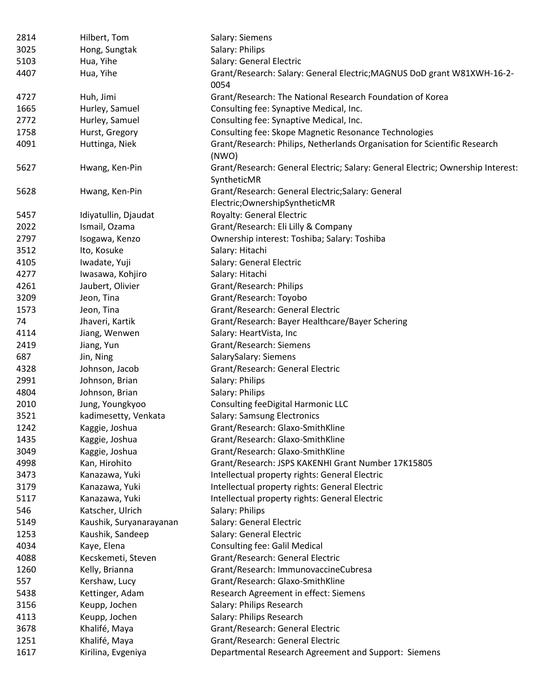| 2814 | Hilbert, Tom            | Salary: Siemens                                                                                |
|------|-------------------------|------------------------------------------------------------------------------------------------|
| 3025 | Hong, Sungtak           | Salary: Philips                                                                                |
| 5103 | Hua, Yihe               | Salary: General Electric                                                                       |
| 4407 | Hua, Yihe               | Grant/Research: Salary: General Electric; MAGNUS DoD grant W81XWH-16-2-<br>0054                |
| 4727 | Huh, Jimi               | Grant/Research: The National Research Foundation of Korea                                      |
| 1665 | Hurley, Samuel          | Consulting fee: Synaptive Medical, Inc.                                                        |
| 2772 | Hurley, Samuel          | Consulting fee: Synaptive Medical, Inc.                                                        |
| 1758 | Hurst, Gregory          | Consulting fee: Skope Magnetic Resonance Technologies                                          |
| 4091 | Huttinga, Niek          | Grant/Research: Philips, Netherlands Organisation for Scientific Research<br>(NWO)             |
| 5627 | Hwang, Ken-Pin          | Grant/Research: General Electric; Salary: General Electric; Ownership Interest:<br>SyntheticMR |
| 5628 | Hwang, Ken-Pin          | Grant/Research: General Electric; Salary: General<br>Electric; Ownership SyntheticMR           |
| 5457 | Idiyatullin, Djaudat    | Royalty: General Electric                                                                      |
| 2022 | Ismail, Ozama           | Grant/Research: Eli Lilly & Company                                                            |
| 2797 | Isogawa, Kenzo          | Ownership interest: Toshiba; Salary: Toshiba                                                   |
| 3512 | Ito, Kosuke             | Salary: Hitachi                                                                                |
| 4105 | Iwadate, Yuji           | Salary: General Electric                                                                       |
| 4277 | Iwasawa, Kohjiro        | Salary: Hitachi                                                                                |
| 4261 | Jaubert, Olivier        | Grant/Research: Philips                                                                        |
| 3209 | Jeon, Tina              | Grant/Research: Toyobo                                                                         |
| 1573 | Jeon, Tina              | Grant/Research: General Electric                                                               |
| 74   | Jhaveri, Kartik         | Grant/Research: Bayer Healthcare/Bayer Schering                                                |
| 4114 | Jiang, Wenwen           | Salary: HeartVista, Inc                                                                        |
| 2419 | Jiang, Yun              | Grant/Research: Siemens                                                                        |
| 687  | Jin, Ning               | SalarySalary: Siemens                                                                          |
| 4328 | Johnson, Jacob          | Grant/Research: General Electric                                                               |
| 2991 | Johnson, Brian          | Salary: Philips                                                                                |
| 4804 | Johnson, Brian          | Salary: Philips                                                                                |
| 2010 | Jung, Youngkyoo         | Consulting feeDigital Harmonic LLC                                                             |
| 3521 | kadimesetty, Venkata    | Salary: Samsung Electronics                                                                    |
| 1242 | Kaggie, Joshua          | Grant/Research: Glaxo-SmithKline                                                               |
| 1435 | Kaggie, Joshua          | Grant/Research: Glaxo-SmithKline                                                               |
| 3049 | Kaggie, Joshua          | Grant/Research: Glaxo-SmithKline                                                               |
| 4998 | Kan, Hirohito           | Grant/Research: JSPS KAKENHI Grant Number 17K15805                                             |
| 3473 | Kanazawa, Yuki          | Intellectual property rights: General Electric                                                 |
| 3179 | Kanazawa, Yuki          | Intellectual property rights: General Electric                                                 |
| 5117 | Kanazawa, Yuki          | Intellectual property rights: General Electric                                                 |
| 546  | Katscher, Ulrich        | Salary: Philips                                                                                |
| 5149 | Kaushik, Suryanarayanan | Salary: General Electric                                                                       |
| 1253 | Kaushik, Sandeep        | Salary: General Electric                                                                       |
| 4034 | Kaye, Elena             | <b>Consulting fee: Galil Medical</b>                                                           |
| 4088 | Kecskemeti, Steven      | Grant/Research: General Electric                                                               |
| 1260 | Kelly, Brianna          | Grant/Research: ImmunovaccineCubresa                                                           |
| 557  | Kershaw, Lucy           | Grant/Research: Glaxo-SmithKline                                                               |
| 5438 | Kettinger, Adam         | Research Agreement in effect: Siemens                                                          |
| 3156 | Keupp, Jochen           | Salary: Philips Research                                                                       |
| 4113 | Keupp, Jochen           | Salary: Philips Research                                                                       |
| 3678 | Khalifé, Maya           | Grant/Research: General Electric                                                               |
| 1251 | Khalifé, Maya           | Grant/Research: General Electric                                                               |
| 1617 | Kirilina, Evgeniya      | Departmental Research Agreement and Support: Siemens                                           |
|      |                         |                                                                                                |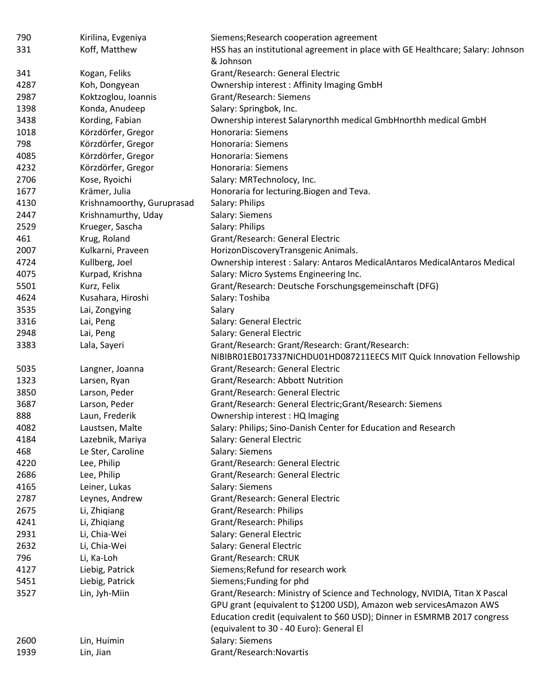| 790  | Kirilina, Evgeniya         | Siemens; Research cooperation agreement                                         |
|------|----------------------------|---------------------------------------------------------------------------------|
| 331  | Koff, Matthew              | HSS has an institutional agreement in place with GE Healthcare; Salary: Johnson |
|      |                            | & Johnson                                                                       |
| 341  | Kogan, Feliks              | Grant/Research: General Electric                                                |
| 4287 | Koh, Dongyean              | Ownership interest: Affinity Imaging GmbH                                       |
| 2987 | Koktzoglou, Ioannis        | Grant/Research: Siemens                                                         |
| 1398 | Konda, Anudeep             | Salary: Springbok, Inc.                                                         |
| 3438 | Kording, Fabian            | Ownership interest Salarynorthh medical GmbHnorthh medical GmbH                 |
| 1018 | Körzdörfer, Gregor         | Honoraria: Siemens                                                              |
| 798  | Körzdörfer, Gregor         | Honoraria: Siemens                                                              |
| 4085 | Körzdörfer, Gregor         | Honoraria: Siemens                                                              |
| 4232 | Körzdörfer, Gregor         | Honoraria: Siemens                                                              |
| 2706 | Kose, Ryoichi              | Salary: MRTechnolocy, Inc.                                                      |
| 1677 | Krämer, Julia              | Honoraria for lecturing. Biogen and Teva.                                       |
| 4130 | Krishnamoorthy, Guruprasad | Salary: Philips                                                                 |
| 2447 | Krishnamurthy, Uday        | Salary: Siemens                                                                 |
| 2529 | Krueger, Sascha            | Salary: Philips                                                                 |
| 461  | Krug, Roland               | Grant/Research: General Electric                                                |
| 2007 | Kulkarni, Praveen          | HorizonDiscoveryTransgenic Animals.                                             |
| 4724 | Kullberg, Joel             | Ownership interest: Salary: Antaros MedicalAntaros MedicalAntaros Medical       |
| 4075 | Kurpad, Krishna            | Salary: Micro Systems Engineering Inc.                                          |
| 5501 | Kurz, Felix                | Grant/Research: Deutsche Forschungsgemeinschaft (DFG)                           |
| 4624 | Kusahara, Hiroshi          | Salary: Toshiba                                                                 |
| 3535 | Lai, Zongying              | Salary                                                                          |
| 3316 | Lai, Peng                  | Salary: General Electric                                                        |
| 2948 | Lai, Peng                  | Salary: General Electric                                                        |
| 3383 | Lala, Sayeri               | Grant/Research: Grant/Research: Grant/Research:                                 |
|      |                            | NIBIBR01EB017337NICHDU01HD087211EECS MIT Quick Innovation Fellowship            |
| 5035 | Langner, Joanna            | Grant/Research: General Electric                                                |
| 1323 | Larsen, Ryan               | Grant/Research: Abbott Nutrition                                                |
| 3850 | Larson, Peder              | Grant/Research: General Electric                                                |
| 3687 | Larson, Peder              | Grant/Research: General Electric; Grant/Research: Siemens                       |
| 888  | Laun, Frederik             | Ownership interest: HQ Imaging                                                  |
| 4082 | Laustsen, Malte            | Salary: Philips; Sino-Danish Center for Education and Research                  |
| 4184 | Lazebnik, Mariya           | Salary: General Electric                                                        |
| 468  | Le Ster, Caroline          | Salary: Siemens                                                                 |
| 4220 | Lee, Philip                | Grant/Research: General Electric                                                |
| 2686 | Lee, Philip                | Grant/Research: General Electric                                                |
| 4165 | Leiner, Lukas              | Salary: Siemens                                                                 |
| 2787 | Leynes, Andrew             | Grant/Research: General Electric                                                |
| 2675 | Li, Zhiqiang               | Grant/Research: Philips                                                         |
| 4241 | Li, Zhiqiang               | Grant/Research: Philips                                                         |
| 2931 |                            | Salary: General Electric                                                        |
|      | Li, Chia-Wei               |                                                                                 |
| 2632 | Li, Chia-Wei               | Salary: General Electric                                                        |
| 796  | Li, Ka-Loh                 | Grant/Research: CRUK                                                            |
| 4127 | Liebig, Patrick            | Siemens; Refund for research work                                               |
| 5451 | Liebig, Patrick            | Siemens; Funding for phd                                                        |
| 3527 | Lin, Jyh-Miin              | Grant/Research: Ministry of Science and Technology, NVIDIA, Titan X Pascal      |
|      |                            | GPU grant (equivalent to \$1200 USD), Amazon web servicesAmazon AWS             |
|      |                            | Education credit (equivalent to \$60 USD); Dinner in ESMRMB 2017 congress       |
|      |                            | (equivalent to 30 - 40 Euro): General El                                        |
| 2600 | Lin, Huimin                | Salary: Siemens                                                                 |
| 1939 | Lin, Jian                  | Grant/Research:Novartis                                                         |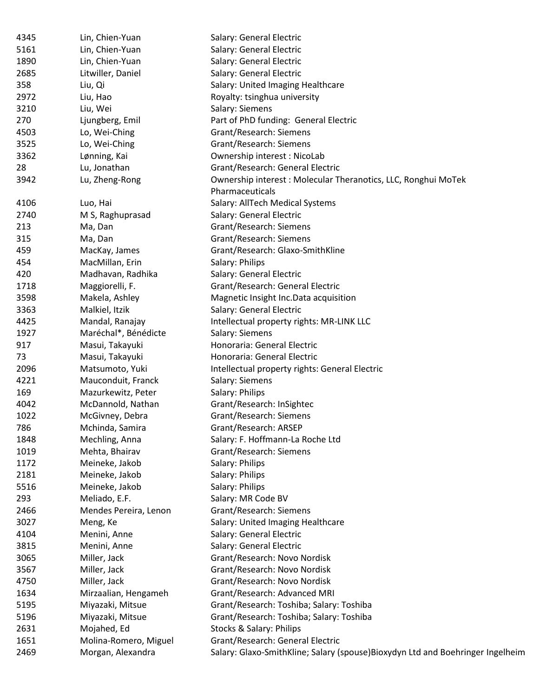| 4345 | Lin, Chien-Yuan       | Salary: General Electric                                                       |
|------|-----------------------|--------------------------------------------------------------------------------|
| 5161 | Lin, Chien-Yuan       | Salary: General Electric                                                       |
| 1890 | Lin, Chien-Yuan       | Salary: General Electric                                                       |
| 2685 | Litwiller, Daniel     | Salary: General Electric                                                       |
| 358  | Liu, Qi               | Salary: United Imaging Healthcare                                              |
| 2972 | Liu, Hao              | Royalty: tsinghua university                                                   |
| 3210 | Liu, Wei              | Salary: Siemens                                                                |
| 270  | Ljungberg, Emil       | Part of PhD funding: General Electric                                          |
| 4503 | Lo, Wei-Ching         | Grant/Research: Siemens                                                        |
| 3525 | Lo, Wei-Ching         | Grant/Research: Siemens                                                        |
| 3362 | Lønning, Kai          | Ownership interest: NicoLab                                                    |
| 28   | Lu, Jonathan          | Grant/Research: General Electric                                               |
| 3942 | Lu, Zheng-Rong        | Ownership interest: Molecular Theranotics, LLC, Ronghui MoTek                  |
|      |                       | Pharmaceuticals                                                                |
| 4106 | Luo, Hai              | Salary: AllTech Medical Systems                                                |
| 2740 | M S, Raghuprasad      | Salary: General Electric                                                       |
| 213  | Ma, Dan               | Grant/Research: Siemens                                                        |
| 315  | Ma, Dan               | Grant/Research: Siemens                                                        |
| 459  | MacKay, James         | Grant/Research: Glaxo-SmithKline                                               |
| 454  | MacMillan, Erin       | Salary: Philips                                                                |
| 420  | Madhavan, Radhika     | Salary: General Electric                                                       |
| 1718 | Maggiorelli, F.       | Grant/Research: General Electric                                               |
| 3598 | Makela, Ashley        | Magnetic Insight Inc. Data acquisition                                         |
| 3363 | Malkiel, Itzik        | Salary: General Electric                                                       |
| 4425 | Mandal, Ranajay       | Intellectual property rights: MR-LINK LLC                                      |
| 1927 | Maréchal*, Bénédicte  | Salary: Siemens                                                                |
| 917  | Masui, Takayuki       | Honoraria: General Electric                                                    |
| 73   | Masui, Takayuki       | Honoraria: General Electric                                                    |
| 2096 | Matsumoto, Yuki       | Intellectual property rights: General Electric                                 |
| 4221 | Mauconduit, Franck    | Salary: Siemens                                                                |
| 169  | Mazurkewitz, Peter    | Salary: Philips                                                                |
| 4042 | McDannold, Nathan     | Grant/Research: InSightec                                                      |
| 1022 | McGivney, Debra       | Grant/Research: Siemens                                                        |
| 786  |                       | Grant/Research: ARSEP                                                          |
|      | Mchinda, Samira       |                                                                                |
| 1848 | Mechling, Anna        | Salary: F. Hoffmann-La Roche Ltd                                               |
| 1019 | Mehta, Bhairav        | Grant/Research: Siemens                                                        |
| 1172 | Meineke, Jakob        | Salary: Philips                                                                |
| 2181 | Meineke, Jakob        | Salary: Philips                                                                |
| 5516 | Meineke, Jakob        | Salary: Philips                                                                |
| 293  | Meliado, E.F.         | Salary: MR Code BV                                                             |
| 2466 | Mendes Pereira, Lenon | Grant/Research: Siemens                                                        |
| 3027 | Meng, Ke              | Salary: United Imaging Healthcare                                              |
| 4104 | Menini, Anne          | Salary: General Electric                                                       |
| 3815 | Menini, Anne          | Salary: General Electric                                                       |
| 3065 | Miller, Jack          | Grant/Research: Novo Nordisk                                                   |
| 3567 | Miller, Jack          | Grant/Research: Novo Nordisk                                                   |
| 4750 | Miller, Jack          | Grant/Research: Novo Nordisk                                                   |
| 1634 | Mirzaalian, Hengameh  | Grant/Research: Advanced MRI                                                   |
| 5195 | Miyazaki, Mitsue      | Grant/Research: Toshiba; Salary: Toshiba                                       |
| 5196 | Miyazaki, Mitsue      | Grant/Research: Toshiba; Salary: Toshiba                                       |
| 2631 | Mojahed, Ed           | <b>Stocks &amp; Salary: Philips</b>                                            |
| 1651 | Molina-Romero, Miguel | Grant/Research: General Electric                                               |
| 2469 | Morgan, Alexandra     | Salary: Glaxo-SmithKline; Salary (spouse)Bioxydyn Ltd and Boehringer Ingelheim |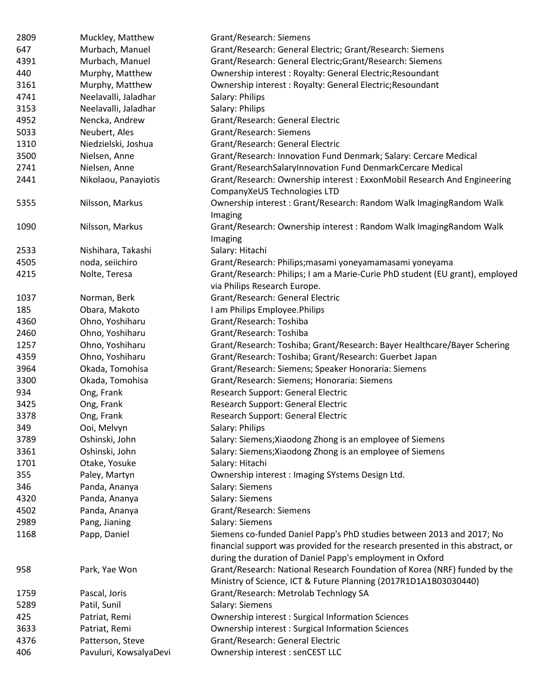| 2809 | Muckley, Matthew       | Grant/Research: Siemens                                                                                                                       |
|------|------------------------|-----------------------------------------------------------------------------------------------------------------------------------------------|
| 647  | Murbach, Manuel        | Grant/Research: General Electric; Grant/Research: Siemens                                                                                     |
| 4391 | Murbach, Manuel        | Grant/Research: General Electric; Grant/Research: Siemens                                                                                     |
| 440  | Murphy, Matthew        | Ownership interest: Royalty: General Electric; Resoundant                                                                                     |
| 3161 | Murphy, Matthew        | Ownership interest: Royalty: General Electric; Resoundant                                                                                     |
| 4741 | Neelavalli, Jaladhar   | Salary: Philips                                                                                                                               |
| 3153 | Neelavalli, Jaladhar   | Salary: Philips                                                                                                                               |
| 4952 | Nencka, Andrew         | Grant/Research: General Electric                                                                                                              |
| 5033 | Neubert, Ales          | <b>Grant/Research: Siemens</b>                                                                                                                |
| 1310 | Niedzielski, Joshua    | Grant/Research: General Electric                                                                                                              |
| 3500 | Nielsen, Anne          | Grant/Research: Innovation Fund Denmark; Salary: Cercare Medical                                                                              |
| 2741 | Nielsen, Anne          | Grant/ResearchSalaryInnovation Fund DenmarkCercare Medical                                                                                    |
| 2441 | Nikolaou, Panayiotis   | Grant/Research: Ownership interest: ExxonMobil Research And Engineering                                                                       |
| 5355 | Nilsson, Markus        | CompanyXeUS Technologies LTD<br>Ownership interest: Grant/Research: Random Walk ImagingRandom Walk                                            |
|      |                        | Imaging                                                                                                                                       |
| 1090 | Nilsson, Markus        | Grant/Research: Ownership interest: Random Walk ImagingRandom Walk                                                                            |
|      |                        | Imaging                                                                                                                                       |
| 2533 | Nishihara, Takashi     | Salary: Hitachi                                                                                                                               |
| 4505 | noda, seiichiro        | Grant/Research: Philips; masami yoneyamamasami yoneyama                                                                                       |
| 4215 | Nolte, Teresa          | Grant/Research: Philips; I am a Marie-Curie PhD student (EU grant), employed                                                                  |
|      |                        | via Philips Research Europe.                                                                                                                  |
| 1037 | Norman, Berk           | Grant/Research: General Electric                                                                                                              |
| 185  | Obara, Makoto          | I am Philips Employee. Philips                                                                                                                |
| 4360 | Ohno, Yoshiharu        | Grant/Research: Toshiba                                                                                                                       |
| 2460 | Ohno, Yoshiharu        | Grant/Research: Toshiba                                                                                                                       |
| 1257 | Ohno, Yoshiharu        | Grant/Research: Toshiba; Grant/Research: Bayer Healthcare/Bayer Schering                                                                      |
| 4359 | Ohno, Yoshiharu        | Grant/Research: Toshiba; Grant/Research: Guerbet Japan                                                                                        |
| 3964 | Okada, Tomohisa        | Grant/Research: Siemens; Speaker Honoraria: Siemens                                                                                           |
| 3300 | Okada, Tomohisa        | Grant/Research: Siemens; Honoraria: Siemens                                                                                                   |
| 934  | Ong, Frank             | Research Support: General Electric                                                                                                            |
| 3425 | Ong, Frank             | Research Support: General Electric                                                                                                            |
| 3378 | Ong, Frank             | Research Support: General Electric                                                                                                            |
| 349  | Ooi, Melvyn            | Salary: Philips                                                                                                                               |
| 3789 | Oshinski, John         | Salary: Siemens; Xiaodong Zhong is an employee of Siemens                                                                                     |
| 3361 | Oshinski, John         | Salary: Siemens; Xiaodong Zhong is an employee of Siemens                                                                                     |
| 1701 | Otake, Yosuke          | Salary: Hitachi                                                                                                                               |
| 355  | Paley, Martyn          | Ownership interest: Imaging SYstems Design Ltd.                                                                                               |
| 346  | Panda, Ananya          | Salary: Siemens                                                                                                                               |
| 4320 | Panda, Ananya          | Salary: Siemens                                                                                                                               |
| 4502 | Panda, Ananya          | Grant/Research: Siemens                                                                                                                       |
| 2989 | Pang, Jianing          | Salary: Siemens                                                                                                                               |
| 1168 | Papp, Daniel           | Siemens co-funded Daniel Papp's PhD studies between 2013 and 2017; No                                                                         |
|      |                        | financial support was provided for the research presented in this abstract, or                                                                |
|      |                        | during the duration of Daniel Papp's employment in Oxford                                                                                     |
| 958  | Park, Yae Won          | Grant/Research: National Research Foundation of Korea (NRF) funded by the<br>Ministry of Science, ICT & Future Planning (2017R1D1A1B03030440) |
| 1759 | Pascal, Joris          | Grant/Research: Metrolab Technlogy SA                                                                                                         |
| 5289 | Patil, Sunil           | Salary: Siemens                                                                                                                               |
| 425  | Patriat, Remi          | Ownership interest: Surgical Information Sciences                                                                                             |
| 3633 | Patriat, Remi          | Ownership interest: Surgical Information Sciences                                                                                             |
| 4376 | Patterson, Steve       | Grant/Research: General Electric                                                                                                              |
| 406  | Pavuluri, KowsalyaDevi | Ownership interest : senCEST LLC                                                                                                              |
|      |                        |                                                                                                                                               |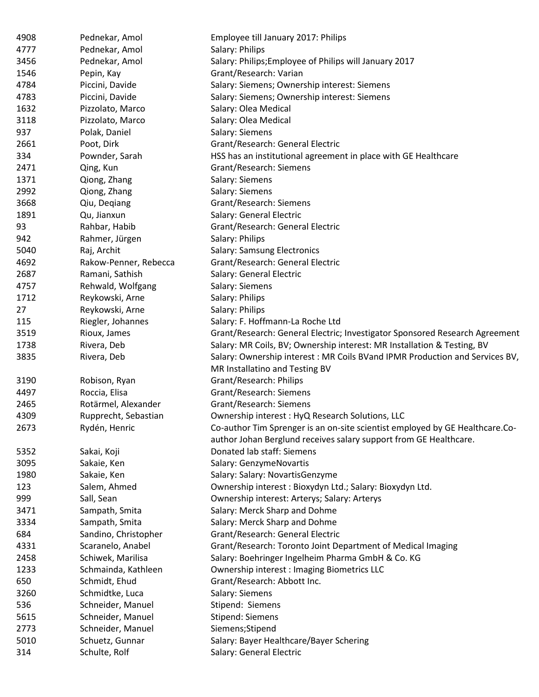| 4908 | Pednekar, Amol        | Employee till January 2017: Philips                                          |
|------|-----------------------|------------------------------------------------------------------------------|
| 4777 | Pednekar, Amol        | Salary: Philips                                                              |
| 3456 | Pednekar, Amol        | Salary: Philips; Employee of Philips will January 2017                       |
| 1546 | Pepin, Kay            | Grant/Research: Varian                                                       |
| 4784 | Piccini, Davide       | Salary: Siemens; Ownership interest: Siemens                                 |
| 4783 | Piccini, Davide       | Salary: Siemens; Ownership interest: Siemens                                 |
| 1632 | Pizzolato, Marco      | Salary: Olea Medical                                                         |
| 3118 | Pizzolato, Marco      | Salary: Olea Medical                                                         |
| 937  | Polak, Daniel         | Salary: Siemens                                                              |
| 2661 | Poot, Dirk            | Grant/Research: General Electric                                             |
| 334  | Pownder, Sarah        | HSS has an institutional agreement in place with GE Healthcare               |
| 2471 | Qing, Kun             | Grant/Research: Siemens                                                      |
| 1371 | Qiong, Zhang          | Salary: Siemens                                                              |
| 2992 | Qiong, Zhang          | Salary: Siemens                                                              |
| 3668 | Qiu, Deqiang          | Grant/Research: Siemens                                                      |
| 1891 | Qu, Jianxun           | Salary: General Electric                                                     |
| 93   | Rahbar, Habib         | Grant/Research: General Electric                                             |
| 942  | Rahmer, Jürgen        | Salary: Philips                                                              |
| 5040 | Raj, Archit           | Salary: Samsung Electronics                                                  |
| 4692 | Rakow-Penner, Rebecca | Grant/Research: General Electric                                             |
| 2687 | Ramani, Sathish       | Salary: General Electric                                                     |
| 4757 | Rehwald, Wolfgang     | Salary: Siemens                                                              |
| 1712 | Reykowski, Arne       | Salary: Philips                                                              |
| 27   | Reykowski, Arne       | Salary: Philips                                                              |
| 115  | Riegler, Johannes     | Salary: F. Hoffmann-La Roche Ltd                                             |
| 3519 | Rioux, James          | Grant/Research: General Electric; Investigator Sponsored Research Agreement  |
| 1738 | Rivera, Deb           | Salary: MR Coils, BV; Ownership interest: MR Installation & Testing, BV      |
| 3835 | Rivera, Deb           | Salary: Ownership interest: MR Coils BVand IPMR Production and Services BV,  |
|      |                       | MR Installatino and Testing BV                                               |
| 3190 | Robison, Ryan         | Grant/Research: Philips                                                      |
| 4497 | Roccia, Elisa         | Grant/Research: Siemens                                                      |
| 2465 | Rotärmel, Alexander   | Grant/Research: Siemens                                                      |
| 4309 | Rupprecht, Sebastian  | Ownership interest: HyQ Research Solutions, LLC                              |
| 2673 | Rydén, Henric         | Co-author Tim Sprenger is an on-site scientist employed by GE Healthcare.Co- |
|      |                       | author Johan Berglund receives salary support from GE Healthcare.            |
| 5352 | Sakai, Koji           | Donated lab staff: Siemens                                                   |
| 3095 | Sakaie, Ken           | Salary: GenzymeNovartis                                                      |
| 1980 | Sakaie, Ken           | Salary: Salary: NovartisGenzyme                                              |
| 123  | Salem, Ahmed          | Ownership interest: Bioxydyn Ltd.; Salary: Bioxydyn Ltd.                     |
| 999  | Sall, Sean            | Ownership interest: Arterys; Salary: Arterys                                 |
| 3471 | Sampath, Smita        | Salary: Merck Sharp and Dohme                                                |
| 3334 | Sampath, Smita        | Salary: Merck Sharp and Dohme                                                |
| 684  | Sandino, Christopher  | Grant/Research: General Electric                                             |
| 4331 | Scaranelo, Anabel     | Grant/Research: Toronto Joint Department of Medical Imaging                  |
| 2458 | Schiwek, Marilisa     | Salary: Boehringer Ingelheim Pharma GmbH & Co. KG                            |
|      |                       |                                                                              |
| 1233 | Schmainda, Kathleen   | <b>Ownership interest: Imaging Biometrics LLC</b>                            |
| 650  | Schmidt, Ehud         | Grant/Research: Abbott Inc.                                                  |
| 3260 | Schmidtke, Luca       | Salary: Siemens                                                              |
| 536  | Schneider, Manuel     | Stipend: Siemens                                                             |
| 5615 | Schneider, Manuel     | <b>Stipend: Siemens</b>                                                      |
| 2773 | Schneider, Manuel     | Siemens; Stipend                                                             |
| 5010 | Schuetz, Gunnar       | Salary: Bayer Healthcare/Bayer Schering                                      |
| 314  | Schulte, Rolf         | Salary: General Electric                                                     |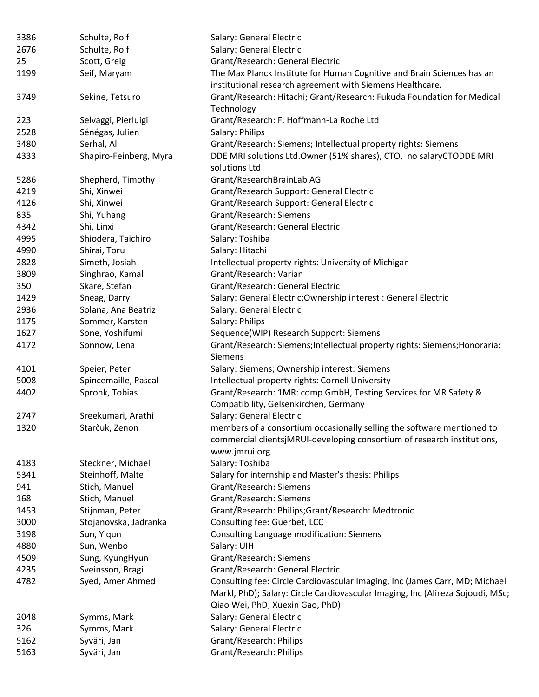| 3386 | Schulte, Rolf          | Salary: General Electric                                                                                                                                                                         |
|------|------------------------|--------------------------------------------------------------------------------------------------------------------------------------------------------------------------------------------------|
| 2676 | Schulte, Rolf          | Salary: General Electric                                                                                                                                                                         |
| 25   | Scott, Greig           | Grant/Research: General Electric                                                                                                                                                                 |
| 1199 | Seif, Maryam           | The Max Planck Institute for Human Cognitive and Brain Sciences has an                                                                                                                           |
|      |                        | institutional research agreement with Siemens Healthcare.                                                                                                                                        |
| 3749 | Sekine, Tetsuro        | Grant/Research: Hitachi; Grant/Research: Fukuda Foundation for Medical<br>Technology                                                                                                             |
| 223  | Selvaggi, Pierluigi    | Grant/Research: F. Hoffmann-La Roche Ltd                                                                                                                                                         |
| 2528 | Sénégas, Julien        | Salary: Philips                                                                                                                                                                                  |
| 3480 | Serhal, Ali            | Grant/Research: Siemens; Intellectual property rights: Siemens                                                                                                                                   |
| 4333 | Shapiro-Feinberg, Myra | DDE MRI solutions Ltd.Owner (51% shares), CTO, no salaryCTODDE MRI<br>solutions Ltd                                                                                                              |
| 5286 | Shepherd, Timothy      | Grant/ResearchBrainLab AG                                                                                                                                                                        |
| 4219 | Shi, Xinwei            | Grant/Research Support: General Electric                                                                                                                                                         |
| 4126 | Shi, Xinwei            | Grant/Research Support: General Electric                                                                                                                                                         |
| 835  | Shi, Yuhang            | Grant/Research: Siemens                                                                                                                                                                          |
| 4342 | Shi, Linxi             | Grant/Research: General Electric                                                                                                                                                                 |
| 4995 | Shiodera, Taichiro     | Salary: Toshiba                                                                                                                                                                                  |
| 4990 | Shirai, Toru           | Salary: Hitachi                                                                                                                                                                                  |
| 2828 | Simeth, Josiah         | Intellectual property rights: University of Michigan                                                                                                                                             |
| 3809 | Singhrao, Kamal        | Grant/Research: Varian                                                                                                                                                                           |
| 350  | Skare, Stefan          | Grant/Research: General Electric                                                                                                                                                                 |
| 1429 | Sneag, Darryl          | Salary: General Electric; Ownership interest: General Electric                                                                                                                                   |
| 2936 | Solana, Ana Beatriz    | Salary: General Electric                                                                                                                                                                         |
| 1175 | Sommer, Karsten        | Salary: Philips                                                                                                                                                                                  |
| 1627 | Sone, Yoshifumi        | Sequence(WIP) Research Support: Siemens                                                                                                                                                          |
| 4172 | Sonnow, Lena           | Grant/Research: Siemens; Intellectual property rights: Siemens; Honoraria:<br><b>Siemens</b>                                                                                                     |
| 4101 | Speier, Peter          | Salary: Siemens; Ownership interest: Siemens                                                                                                                                                     |
| 5008 | Spincemaille, Pascal   | Intellectual property rights: Cornell University                                                                                                                                                 |
| 4402 | Spronk, Tobias         | Grant/Research: 1MR: comp GmbH, Testing Services for MR Safety &<br>Compatibility, Gelsenkirchen, Germany                                                                                        |
| 2747 | Sreekumari, Arathi     | Salary: General Electric                                                                                                                                                                         |
| 1320 | Starčuk, Zenon         | members of a consortium occasionally selling the software mentioned to<br>commercial clientsjMRUI-developing consortium of research institutions,                                                |
|      |                        | www.jmrui.org                                                                                                                                                                                    |
| 4183 | Steckner, Michael      | Salary: Toshiba                                                                                                                                                                                  |
| 5341 | Steinhoff, Malte       | Salary for internship and Master's thesis: Philips                                                                                                                                               |
| 941  | Stich, Manuel          | Grant/Research: Siemens                                                                                                                                                                          |
| 168  | Stich, Manuel          | Grant/Research: Siemens                                                                                                                                                                          |
| 1453 | Stijnman, Peter        | Grant/Research: Philips;Grant/Research: Medtronic                                                                                                                                                |
| 3000 | Stojanovska, Jadranka  | Consulting fee: Guerbet, LCC                                                                                                                                                                     |
| 3198 | Sun, Yiqun             | Consulting Language modification: Siemens                                                                                                                                                        |
| 4880 | Sun, Wenbo             | Salary: UIH                                                                                                                                                                                      |
| 4509 | Sung, KyungHyun        | Grant/Research: Siemens                                                                                                                                                                          |
| 4235 | Sveinsson, Bragi       | Grant/Research: General Electric                                                                                                                                                                 |
| 4782 | Syed, Amer Ahmed       | Consulting fee: Circle Cardiovascular Imaging, Inc (James Carr, MD; Michael<br>Markl, PhD); Salary: Circle Cardiovascular Imaging, Inc (Alireza Sojoudi, MSc;<br>Qiao Wei, PhD; Xuexin Gao, PhD) |
| 2048 | Symms, Mark            | Salary: General Electric                                                                                                                                                                         |
| 326  | Symms, Mark            | Salary: General Electric                                                                                                                                                                         |
| 5162 | Syväri, Jan            | Grant/Research: Philips                                                                                                                                                                          |
| 5163 | Syväri, Jan            | Grant/Research: Philips                                                                                                                                                                          |
|      |                        |                                                                                                                                                                                                  |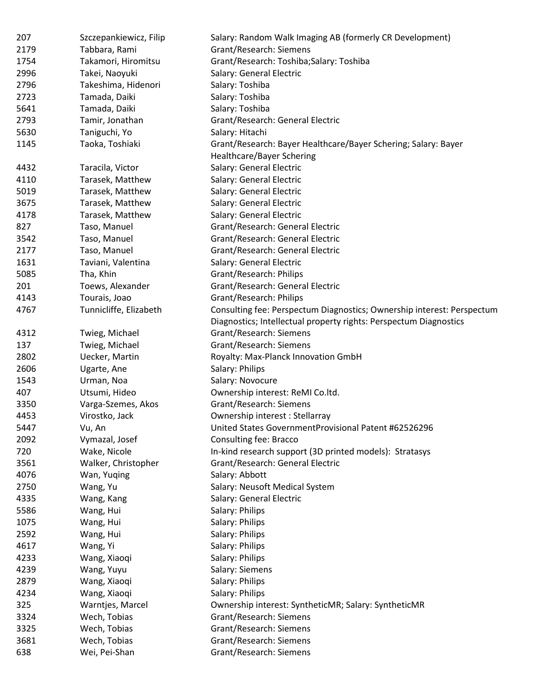| 207  | Szczepankiewicz, Filip | Salary: Random Walk Imaging AB (formerly CR Development)                                                                                    |
|------|------------------------|---------------------------------------------------------------------------------------------------------------------------------------------|
| 2179 | Tabbara, Rami          | Grant/Research: Siemens                                                                                                                     |
| 1754 | Takamori, Hiromitsu    | Grant/Research: Toshiba;Salary: Toshiba                                                                                                     |
| 2996 | Takei, Naoyuki         | Salary: General Electric                                                                                                                    |
| 2796 | Takeshima, Hidenori    | Salary: Toshiba                                                                                                                             |
| 2723 | Tamada, Daiki          | Salary: Toshiba                                                                                                                             |
| 5641 | Tamada, Daiki          | Salary: Toshiba                                                                                                                             |
| 2793 | Tamir, Jonathan        | Grant/Research: General Electric                                                                                                            |
| 5630 | Taniguchi, Yo          | Salary: Hitachi                                                                                                                             |
| 1145 | Taoka, Toshiaki        | Grant/Research: Bayer Healthcare/Bayer Schering; Salary: Bayer                                                                              |
|      |                        | <b>Healthcare/Bayer Schering</b>                                                                                                            |
| 4432 | Taracila, Victor       | Salary: General Electric                                                                                                                    |
| 4110 | Tarasek, Matthew       | Salary: General Electric                                                                                                                    |
| 5019 | Tarasek, Matthew       | Salary: General Electric                                                                                                                    |
| 3675 | Tarasek, Matthew       | Salary: General Electric                                                                                                                    |
| 4178 | Tarasek, Matthew       | Salary: General Electric                                                                                                                    |
| 827  | Taso, Manuel           | Grant/Research: General Electric                                                                                                            |
| 3542 | Taso, Manuel           | Grant/Research: General Electric                                                                                                            |
| 2177 | Taso, Manuel           | Grant/Research: General Electric                                                                                                            |
| 1631 | Taviani, Valentina     | Salary: General Electric                                                                                                                    |
| 5085 | Tha, Khin              | Grant/Research: Philips                                                                                                                     |
| 201  | Toews, Alexander       | Grant/Research: General Electric                                                                                                            |
| 4143 | Tourais, Joao          | Grant/Research: Philips                                                                                                                     |
| 4767 | Tunnicliffe, Elizabeth | Consulting fee: Perspectum Diagnostics; Ownership interest: Perspectum<br>Diagnostics; Intellectual property rights: Perspectum Diagnostics |
| 4312 | Twieg, Michael         | Grant/Research: Siemens                                                                                                                     |
| 137  | Twieg, Michael         | Grant/Research: Siemens                                                                                                                     |
| 2802 | Uecker, Martin         | Royalty: Max-Planck Innovation GmbH                                                                                                         |
| 2606 | Ugarte, Ane            | Salary: Philips                                                                                                                             |
| 1543 | Urman, Noa             | Salary: Novocure                                                                                                                            |
| 407  | Utsumi, Hideo          | Ownership interest: ReMI Co.ltd.                                                                                                            |
| 3350 | Varga-Szemes, Akos     | Grant/Research: Siemens                                                                                                                     |
| 4453 | Virostko, Jack         | Ownership interest: Stellarray                                                                                                              |
| 5447 | Vu, An                 | United States GovernmentProvisional Patent #62526296                                                                                        |
| 2092 | Vymazal, Josef         | Consulting fee: Bracco                                                                                                                      |
| 720  | Wake, Nicole           | In-kind research support (3D printed models): Stratasys                                                                                     |
| 3561 | Walker, Christopher    | Grant/Research: General Electric                                                                                                            |
| 4076 | Wan, Yuqing            | Salary: Abbott                                                                                                                              |
| 2750 | Wang, Yu               | Salary: Neusoft Medical System                                                                                                              |
| 4335 | Wang, Kang             | Salary: General Electric                                                                                                                    |
| 5586 | Wang, Hui              | Salary: Philips                                                                                                                             |
| 1075 | Wang, Hui              | Salary: Philips                                                                                                                             |
| 2592 | Wang, Hui              | Salary: Philips                                                                                                                             |
| 4617 | Wang, Yi               | Salary: Philips                                                                                                                             |
| 4233 | Wang, Xiaoqi           | Salary: Philips                                                                                                                             |
| 4239 | Wang, Yuyu             | Salary: Siemens                                                                                                                             |
| 2879 | Wang, Xiaoqi           | Salary: Philips                                                                                                                             |
| 4234 | Wang, Xiaoqi           | Salary: Philips                                                                                                                             |
| 325  | Warntjes, Marcel       | Ownership interest: SyntheticMR; Salary: SyntheticMR                                                                                        |
| 3324 | Wech, Tobias           | Grant/Research: Siemens                                                                                                                     |
| 3325 | Wech, Tobias           | Grant/Research: Siemens                                                                                                                     |
| 3681 | Wech, Tobias           | Grant/Research: Siemens                                                                                                                     |
| 638  | Wei, Pei-Shan          | Grant/Research: Siemens                                                                                                                     |
|      |                        |                                                                                                                                             |